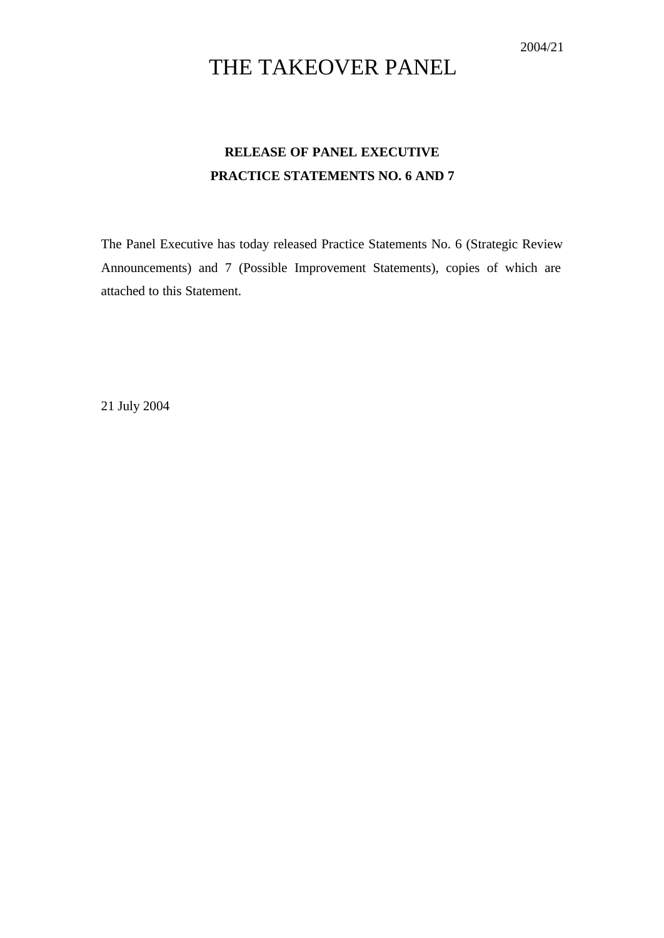# THE TAKEOVER PANEL

## **RELEASE OF PANEL EXECUTIVE PRACTICE STATEMENTS NO. 6 AND 7**

The Panel Executive has today released Practice Statements No. 6 (Strategic Review Announcements) and 7 (Possible Improvement Statements), copies of which are attached to this Statement.

21 July 2004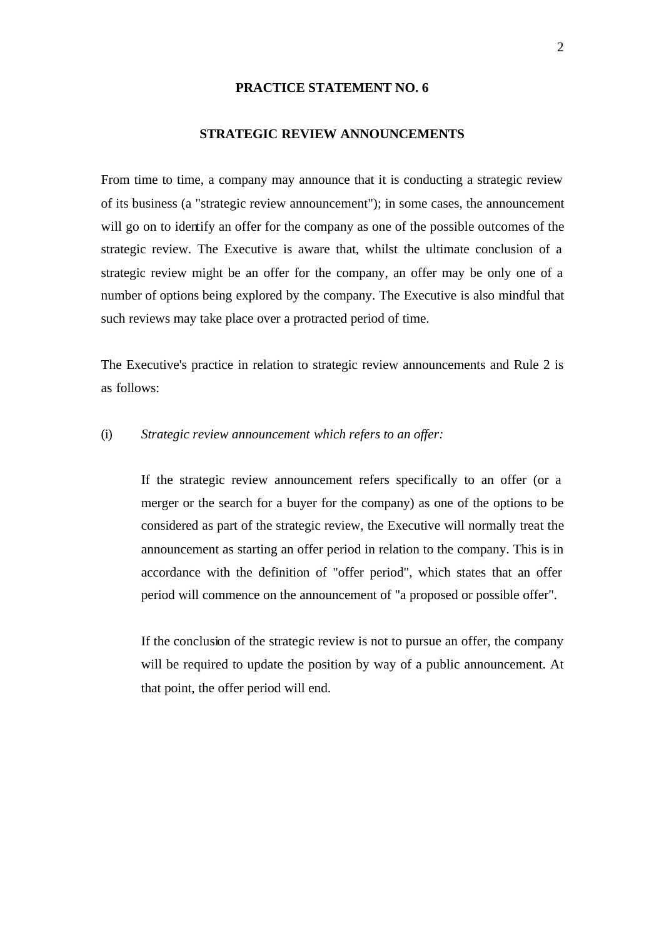#### **PRACTICE STATEMENT NO. 6**

### **STRATEGIC REVIEW ANNOUNCEMENTS**

From time to time, a company may announce that it is conducting a strategic review of its business (a "strategic review announcement"); in some cases, the announcement will go on to identify an offer for the company as one of the possible outcomes of the strategic review. The Executive is aware that, whilst the ultimate conclusion of a strategic review might be an offer for the company, an offer may be only one of a number of options being explored by the company. The Executive is also mindful that such reviews may take place over a protracted period of time.

The Executive's practice in relation to strategic review announcements and Rule 2 is as follows:

#### (i) *Strategic review announcement which refers to an offer:*

If the strategic review announcement refers specifically to an offer (or a merger or the search for a buyer for the company) as one of the options to be considered as part of the strategic review, the Executive will normally treat the announcement as starting an offer period in relation to the company. This is in accordance with the definition of "offer period", which states that an offer period will commence on the announcement of "a proposed or possible offer".

If the conclusion of the strategic review is not to pursue an offer, the company will be required to update the position by way of a public announcement. At that point, the offer period will end.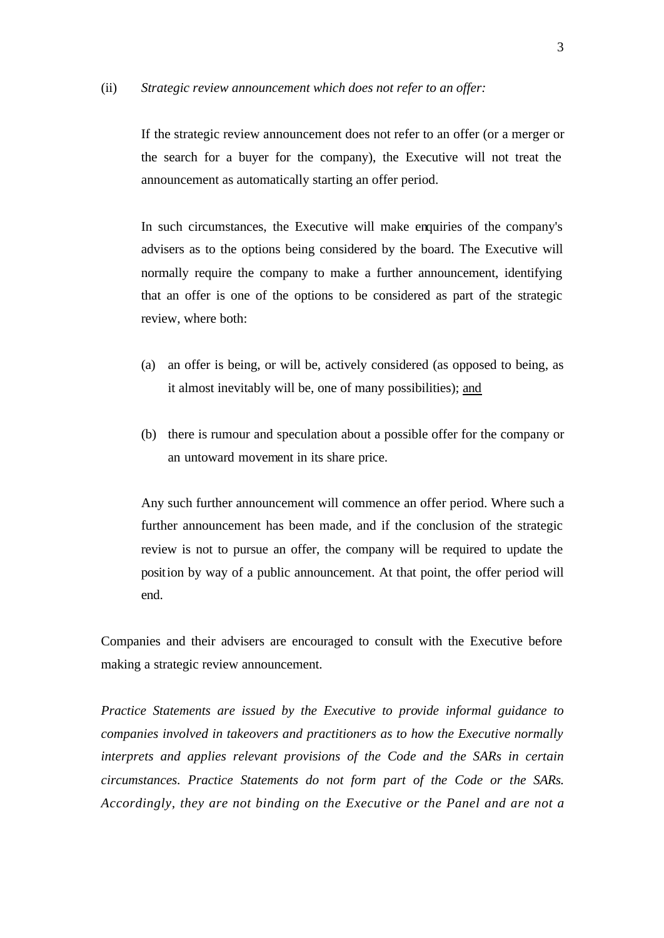#### (ii) *Strategic review announcement which does not refer to an offer:*

If the strategic review announcement does not refer to an offer (or a merger or the search for a buyer for the company), the Executive will not treat the announcement as automatically starting an offer period.

In such circumstances, the Executive will make enquiries of the company's advisers as to the options being considered by the board. The Executive will normally require the company to make a further announcement, identifying that an offer is one of the options to be considered as part of the strategic review, where both:

- (a) an offer is being, or will be, actively considered (as opposed to being, as it almost inevitably will be, one of many possibilities); and
- (b) there is rumour and speculation about a possible offer for the company or an untoward movement in its share price.

Any such further announcement will commence an offer period. Where such a further announcement has been made, and if the conclusion of the strategic review is not to pursue an offer, the company will be required to update the position by way of a public announcement. At that point, the offer period will end.

Companies and their advisers are encouraged to consult with the Executive before making a strategic review announcement.

*Practice Statements are issued by the Executive to provide informal guidance to companies involved in takeovers and practitioners as to how the Executive normally interprets and applies relevant provisions of the Code and the SARs in certain circumstances. Practice Statements do not form part of the Code or the SARs. Accordingly, they are not binding on the Executive or the Panel and are not a*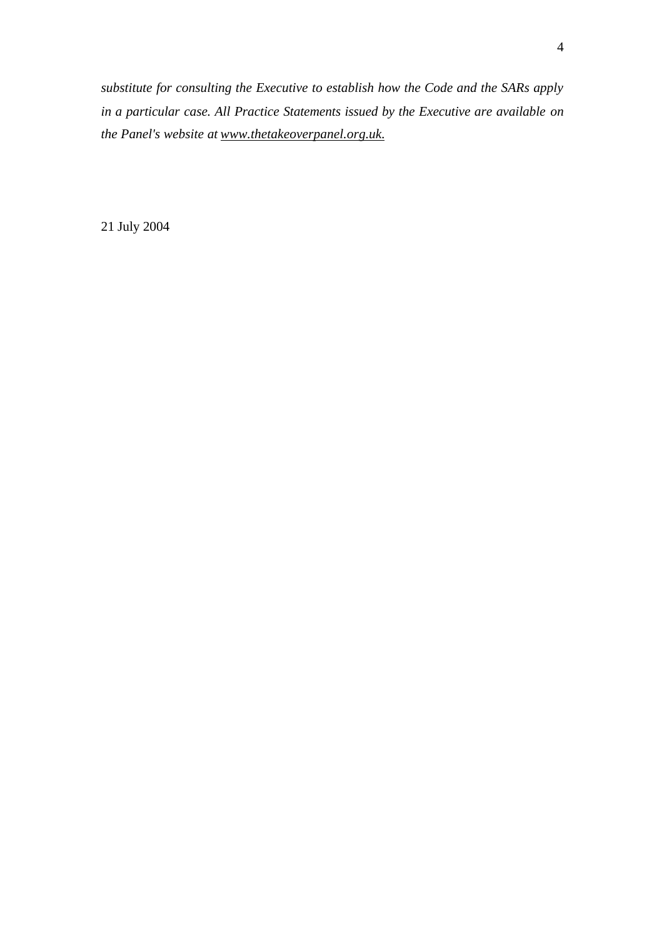*substitute for consulting the Executive to establish how the Code and the SARs apply in a particular case. All Practice Statements issued by the Executive are available on the Panel's website at www.thetakeoverpanel.org.uk.*

21 July 2004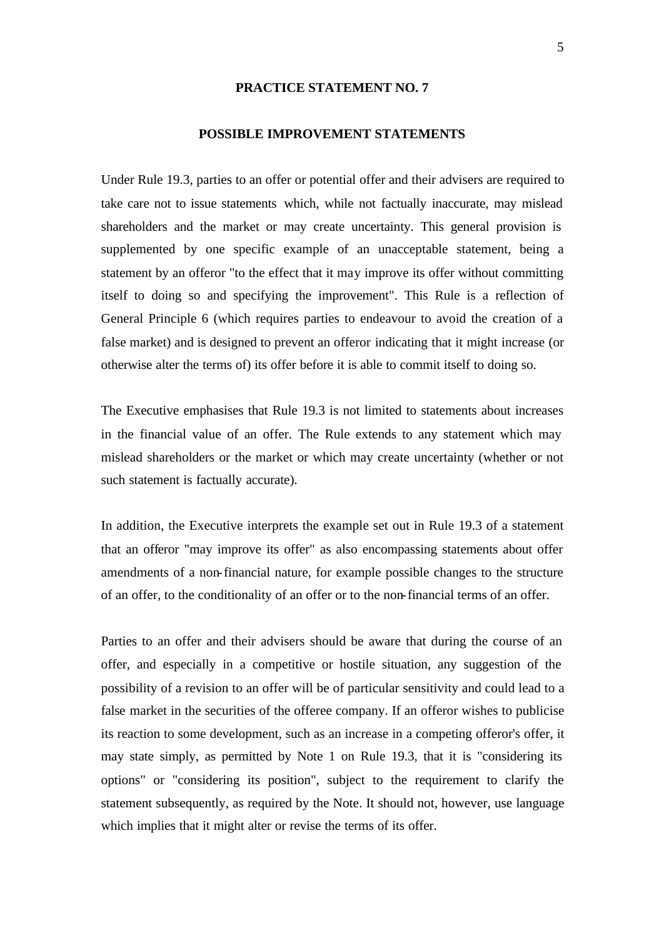#### **PRACTICE STATEMENT NO. 7**

#### **POSSIBLE IMPROVEMENT STATEMENTS**

Under Rule 19.3, parties to an offer or potential offer and their advisers are required to take care not to issue statements which, while not factually inaccurate, may mislead shareholders and the market or may create uncertainty. This general provision is supplemented by one specific example of an unacceptable statement, being a statement by an offeror "to the effect that it may improve its offer without committing itself to doing so and specifying the improvement". This Rule is a reflection of General Principle 6 (which requires parties to endeavour to avoid the creation of a false market) and is designed to prevent an offeror indicating that it might increase (or otherwise alter the terms of) its offer before it is able to commit itself to doing so.

The Executive emphasises that Rule 19.3 is not limited to statements about increases in the financial value of an offer. The Rule extends to any statement which may mislead shareholders or the market or which may create uncertainty (whether or not such statement is factually accurate).

In addition, the Executive interprets the example set out in Rule 19.3 of a statement that an offeror "may improve its offer" as also encompassing statements about offer amendments of a non-financial nature, for example possible changes to the structure of an offer, to the conditionality of an offer or to the non-financial terms of an offer.

Parties to an offer and their advisers should be aware that during the course of an offer, and especially in a competitive or hostile situation, any suggestion of the possibility of a revision to an offer will be of particular sensitivity and could lead to a false market in the securities of the offeree company. If an offeror wishes to publicise its reaction to some development, such as an increase in a competing offeror's offer, it may state simply, as permitted by Note 1 on Rule 19.3, that it is "considering its options" or "considering its position", subject to the requirement to clarify the statement subsequently, as required by the Note. It should not, however, use language which implies that it might alter or revise the terms of its offer.